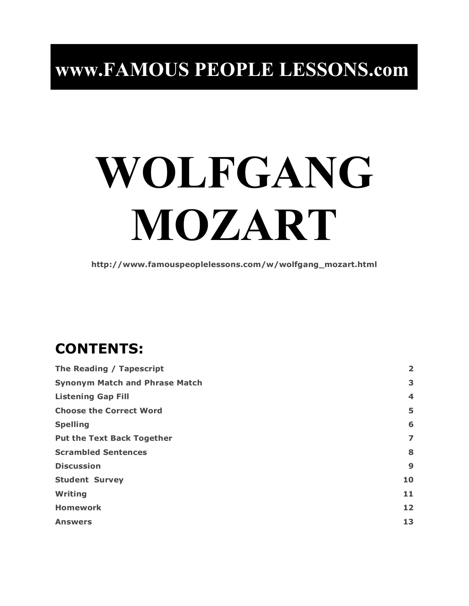## **www.FAMOUS PEOPLE LESSONS.com**

# **WOLFGANG MOZART**

**http://www.famouspeoplelessons.com/w/wolfgang\_mozart.html**

## **CONTENTS:**

| The Reading / Tapescript              |                         |
|---------------------------------------|-------------------------|
| <b>Synonym Match and Phrase Match</b> | 3                       |
| <b>Listening Gap Fill</b>             | $\overline{\mathbf{4}}$ |
| <b>Choose the Correct Word</b>        | 5                       |
| <b>Spelling</b>                       | 6                       |
| <b>Put the Text Back Together</b>     | 7                       |
| <b>Scrambled Sentences</b>            | 8                       |
| <b>Discussion</b>                     | 9                       |
| <b>Student Survey</b>                 | 10                      |
| Writing                               | 11                      |
| <b>Homework</b>                       | 12                      |
| <b>Answers</b>                        | 13                      |
|                                       |                         |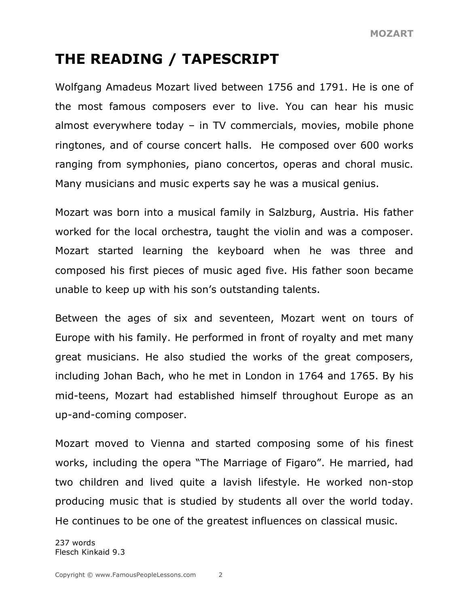## **THE READING / TAPESCRIPT**

Wolfgang Amadeus Mozart lived between 1756 and 1791. He is one of the most famous composers ever to live. You can hear his music almost everywhere today – in TV commercials, movies, mobile phone ringtones, and of course concert halls. He composed over 600 works ranging from symphonies, piano concertos, operas and choral music. Many musicians and music experts say he was a musical genius.

Mozart was born into a musical family in Salzburg, Austria. His father worked for the local orchestra, taught the violin and was a composer. Mozart started learning the keyboard when he was three and composed his first pieces of music aged five. His father soon became unable to keep up with his son's outstanding talents.

Between the ages of six and seventeen, Mozart went on tours of Europe with his family. He performed in front of royalty and met many great musicians. He also studied the works of the great composers, including Johan Bach, who he met in London in 1764 and 1765. By his mid-teens, Mozart had established himself throughout Europe as an up-and-coming composer.

Mozart moved to Vienna and started composing some of his finest works, including the opera "The Marriage of Figaro". He married, had two children and lived quite a lavish lifestyle. He worked non-stop producing music that is studied by students all over the world today. He continues to be one of the greatest influences on classical music.

237 words Flesch Kinkaid 9.3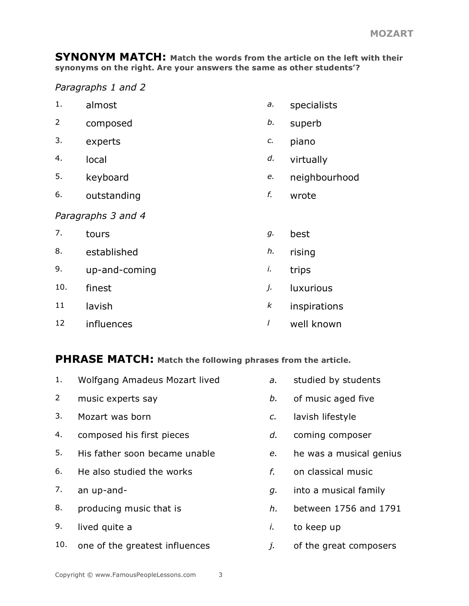**SYNONYM MATCH: Match the words from the article on the left with their synonyms on the right. Are your answers the same as other students'?**

*Paragraphs 1 and 2*

- 1. almost *a.* specialists
- 2 composed *b.* superb
- 3. experts *c.* piano
- 4. local *d.* virtually
- 5. keyboard *e.* neighbourhood
- 6. outstanding *f.* wrote

#### *Paragraphs 3 and 4*

7. tours *g.* best 8. established *h.* rising 9. up-and-coming *i.* trips 10. finest *j.* luxurious 11 lavish *k* inspirations 12 influences *l* well known

#### **PHRASE MATCH: Match the following phrases from the article.**

- 1. Wolfgang Amadeus Mozart lived *a.* studied by students
- 2 music experts say *b.* of music aged five
- 3. Mozart was born *c.* lavish lifestyle
- 4. composed his first pieces *d.* coming composer
- 5. His father soon became unable *e.* he was a musical genius
- 6. He also studied the works *f.* on classical music
- 
- 
- 9. lived quite a *i.* to keep up
- 10. one of the greatest influences *j.* of the great composers
- 
- 
- 
- 
- 
- 
- 7. an up-and- *g.* into a musical family
- 8. producing music that is *h.* between 1756 and 1791
	-
	-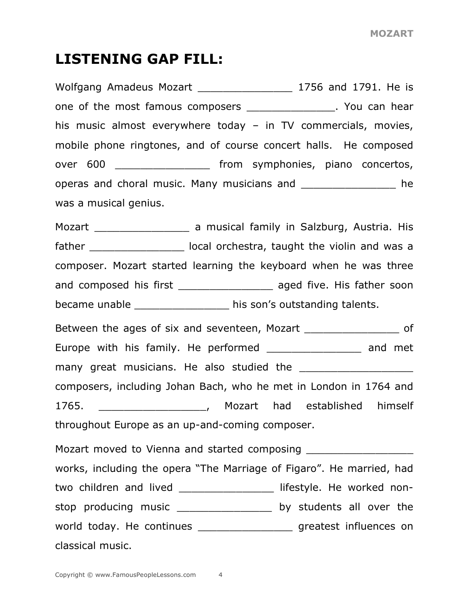#### **LISTENING GAP FILL:**

Wolfgang Amadeus Mozart \_\_\_\_\_\_\_\_\_\_\_\_\_\_\_\_\_\_\_ 1756 and 1791. He is one of the most famous composers \_\_\_\_\_\_\_\_\_\_\_\_\_\_\_. You can hear his music almost everywhere today – in TV commercials, movies, mobile phone ringtones, and of course concert halls. He composed over 600 **b** from symphonies, piano concertos, operas and choral music. Many musicians and **Exercise 2** he was a musical genius. Mozart \_\_\_\_\_\_\_\_\_\_\_\_\_\_\_\_\_\_\_\_\_\_\_\_ a musical family in Salzburg, Austria. His father and local orchestra, taught the violin and was a composer. Mozart started learning the keyboard when he was three and composed his first \_\_\_\_\_\_\_\_\_\_\_\_\_\_\_\_\_\_\_ aged five. His father soon became unable \_\_\_\_\_\_\_\_\_\_\_\_\_\_\_ his son's outstanding talents. Between the ages of six and seventeen, Mozart Theorem and Seventeen, Mozart Europe with his family. He performed \_\_\_\_\_\_\_\_\_\_\_\_\_\_\_ and met many great musicians. He also studied the composers, including Johan Bach, who he met in London in 1764 and 1765. \_\_\_\_\_\_\_\_\_\_\_\_\_\_\_\_\_, Mozart had established himself throughout Europe as an up-and-coming composer. Mozart moved to Vienna and started composing \_\_\_\_\_\_\_\_\_\_\_\_\_\_\_\_\_\_\_\_\_\_\_\_\_\_\_\_\_\_\_\_\_\_\_ works, including the opera "The Marriage of Figaro". He married, had two children and lived \_\_\_\_\_\_\_\_\_\_\_\_\_\_\_\_\_\_ lifestyle. He worked nonstop producing music \_\_\_\_\_\_\_\_\_\_\_\_\_\_\_\_\_\_\_ by students all over the world today. He continues \_\_\_\_\_\_\_\_\_\_\_\_\_\_\_\_\_\_\_ greatest influences on classical music.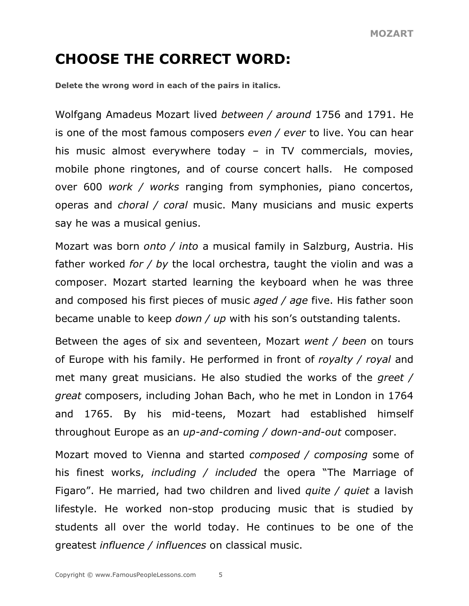## **CHOOSE THE CORRECT WORD:**

**Delete the wrong word in each of the pairs in italics.**

Wolfgang Amadeus Mozart lived *between / around* 1756 and 1791. He is one of the most famous composers *even / ever* to live. You can hear his music almost everywhere today – in TV commercials, movies, mobile phone ringtones, and of course concert halls. He composed over 600 *work / works* ranging from symphonies, piano concertos, operas and *choral / coral* music. Many musicians and music experts say he was a musical genius.

Mozart was born *onto / into* a musical family in Salzburg, Austria. His father worked *for / by* the local orchestra, taught the violin and was a composer. Mozart started learning the keyboard when he was three and composed his first pieces of music *aged / age* five. His father soon became unable to keep *down / up* with his son's outstanding talents.

Between the ages of six and seventeen, Mozart *went / been* on tours of Europe with his family. He performed in front of *royalty / royal* and met many great musicians. He also studied the works of the *greet / great* composers, including Johan Bach, who he met in London in 1764 and 1765. By his mid-teens, Mozart had established himself throughout Europe as an *up-and-coming / down-and-out* composer.

Mozart moved to Vienna and started *composed / composing* some of his finest works, *including / included* the opera "The Marriage of Figaro". He married, had two children and lived *quite / quiet* a lavish lifestyle. He worked non-stop producing music that is studied by students all over the world today. He continues to be one of the greatest *influence / influences* on classical music.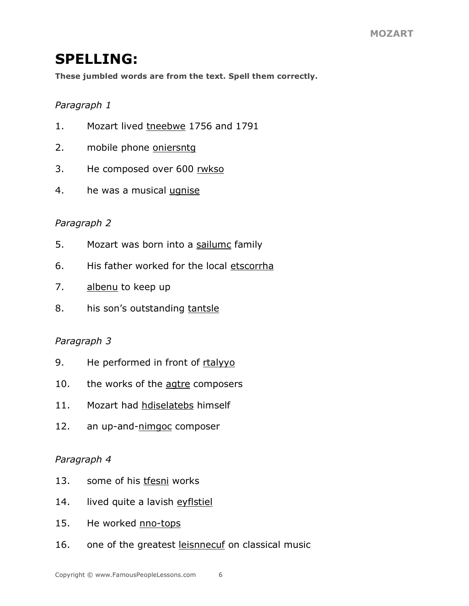## **SPELLING:**

**These jumbled words are from the text. Spell them correctly.**

#### *Paragraph 1*

- 1. Mozart lived tneebwe 1756 and 1791
- 2. mobile phone oniersntg
- 3. He composed over 600 rwkso
- 4. he was a musical ugnise

#### *Paragraph 2*

- 5. Mozart was born into a sailumc family
- 6. His father worked for the local etscorrha
- 7. albenu to keep up
- 8. his son's outstanding tantsle

#### *Paragraph 3*

- 9. He performed in front of rtalyyo
- 10. the works of the agtre composers
- 11. Mozart had hdiselatebs himself
- 12. an up-and-nimgoc composer

#### *Paragraph 4*

- 13. some of his tfesni works
- 14. lived quite a lavish eyflstiel
- 15. He worked nno-tops
- 16. one of the greatest leisnnecuf on classical music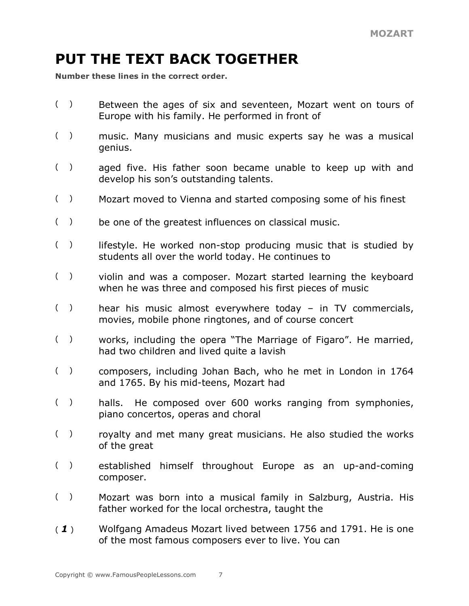## **PUT THE TEXT BACK TOGETHER**

**Number these lines in the correct order.**

- ( ) Between the ages of six and seventeen, Mozart went on tours of Europe with his family. He performed in front of
- ( ) music. Many musicians and music experts say he was a musical genius.
- ( ) aged five. His father soon became unable to keep up with and develop his son's outstanding talents.
- ( ) Mozart moved to Vienna and started composing some of his finest
- ( ) be one of the greatest influences on classical music.
- $($ ) lifestyle. He worked non-stop producing music that is studied by students all over the world today. He continues to
- ( ) violin and was a composer. Mozart started learning the keyboard when he was three and composed his first pieces of music
- ( ) hear his music almost everywhere today in TV commercials, movies, mobile phone ringtones, and of course concert
- ( ) works, including the opera "The Marriage of Figaro". He married, had two children and lived quite a lavish
- ( ) composers, including Johan Bach, who he met in London in 1764 and 1765. By his mid-teens, Mozart had
- ( ) halls. He composed over 600 works ranging from symphonies, piano concertos, operas and choral
- ( ) royalty and met many great musicians. He also studied the works of the great
- ( ) established himself throughout Europe as an up-and-coming composer.
- ( ) Mozart was born into a musical family in Salzburg, Austria. His father worked for the local orchestra, taught the
- ( *1* ) Wolfgang Amadeus Mozart lived between 1756 and 1791. He is one of the most famous composers ever to live. You can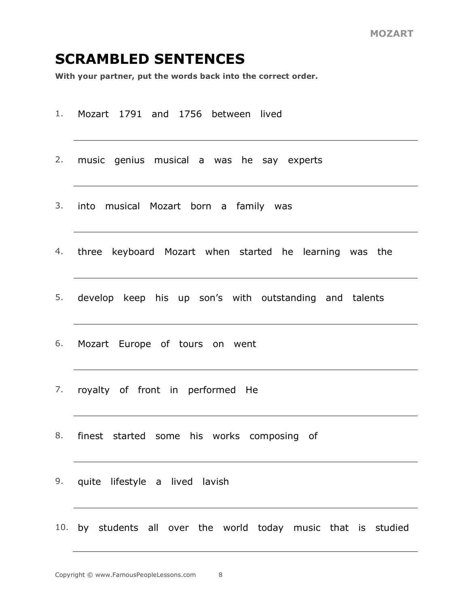#### **SCRAMBLED SENTENCES**

**With your partner, put the words back into the correct order.**

- 1. Mozart 1791 and 1756 between lived
- 2. music genius musical a was he say experts
- 3. into musical Mozart born a family was
- 4. three keyboard Mozart when started he learning was the
- 5. develop keep his up son's with outstanding and talents
- 6. Mozart Europe of tours on went
- 7. royalty of front in performed He
- 8. finest started some his works composing of
- 9. quite lifestyle a lived lavish
- 10. by students all over the world today music that is studied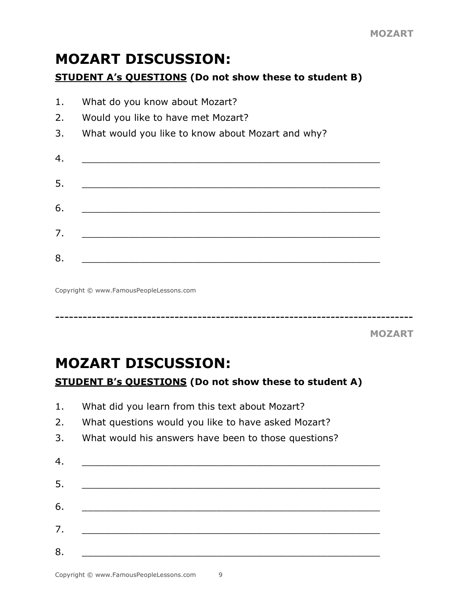### **MOZART DISCUSSION:**

#### **STUDENT A's QUESTIONS (Do not show these to student B)**

| 1. | What do you know about Mozart?                    |  |  |  |  |
|----|---------------------------------------------------|--|--|--|--|
| 2. | Would you like to have met Mozart?                |  |  |  |  |
| 3. | What would you like to know about Mozart and why? |  |  |  |  |
| 4. |                                                   |  |  |  |  |
| 5. |                                                   |  |  |  |  |
| 6. |                                                   |  |  |  |  |
| 7. |                                                   |  |  |  |  |
| 8. |                                                   |  |  |  |  |

Copyright © www.FamousPeopleLessons.com

------------------------------------------------------------------------------

**MOZART**

### **MOZART DISCUSSION: STUDENT B's QUESTIONS (Do not show these to student A)**

- 1. What did you learn from this text about Mozart?
- 2. What questions would you like to have asked Mozart?
- 3. What would his answers have been to those questions?

| 5. |  |
|----|--|
|    |  |
| 6. |  |
| 7. |  |
| 8. |  |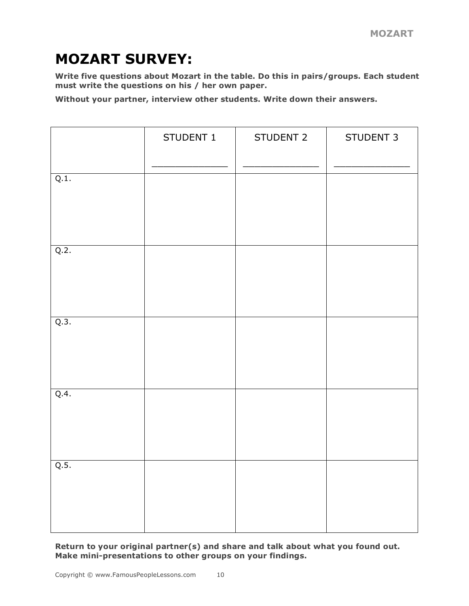## **MOZART SURVEY:**

**Write five questions about Mozart in the table. Do this in pairs/groups. Each student must write the questions on his / her own paper.**

**Without your partner, interview other students. Write down their answers.**

|      | STUDENT 1 | STUDENT 2 | STUDENT 3 |
|------|-----------|-----------|-----------|
| Q.1. |           |           |           |
| Q.2. |           |           |           |
| Q.3. |           |           |           |
| Q.4. |           |           |           |
| Q.5. |           |           |           |

**Return to your original partner(s) and share and talk about what you found out. Make mini-presentations to other groups on your findings.**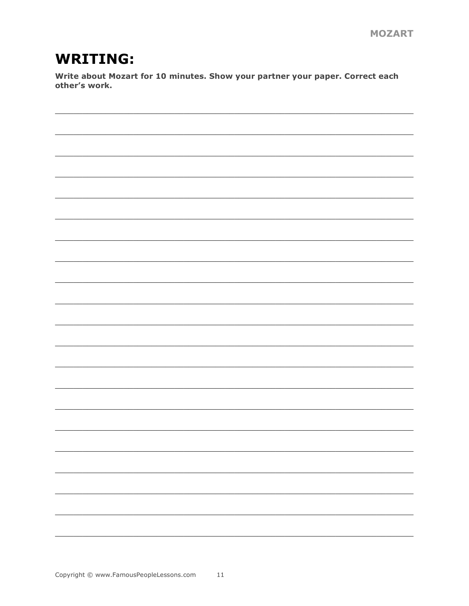## **WRITING:**

Write about Mozart for 10 minutes. Show your partner your paper. Correct each other's work.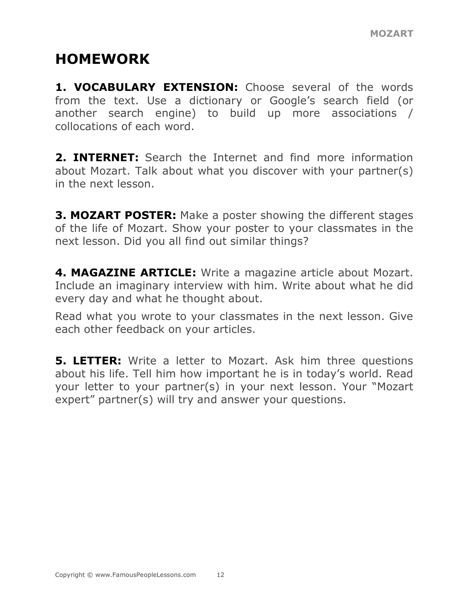## **HOMEWORK**

**1. VOCABULARY EXTENSION:** Choose several of the words from the text. Use a dictionary or Google's search field (or another search engine) to build up more associations / collocations of each word.

**2. INTERNET:** Search the Internet and find more information about Mozart. Talk about what you discover with your partner(s) in the next lesson.

**3. MOZART POSTER:** Make a poster showing the different stages of the life of Mozart. Show your poster to your classmates in the next lesson. Did you all find out similar things?

**4. MAGAZINE ARTICLE:** Write a magazine article about Mozart. Include an imaginary interview with him. Write about what he did every day and what he thought about.

Read what you wrote to your classmates in the next lesson. Give each other feedback on your articles.

**5. LETTER:** Write a letter to Mozart. Ask him three questions about his life. Tell him how important he is in today's world. Read your letter to your partner(s) in your next lesson. Your "Mozart expert" partner(s) will try and answer your questions.